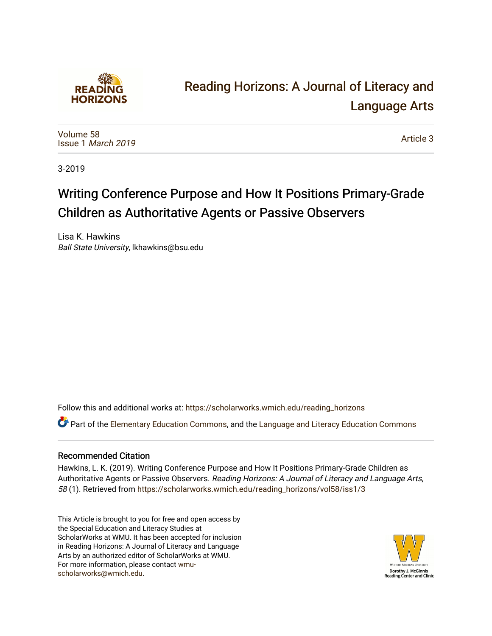

# [Reading Horizons: A Journal of Literacy and](https://scholarworks.wmich.edu/reading_horizons)  [Language Arts](https://scholarworks.wmich.edu/reading_horizons)

[Volume 58](https://scholarworks.wmich.edu/reading_horizons/vol58) Issue 1 [March 2019](https://scholarworks.wmich.edu/reading_horizons/vol58/iss1)

[Article 3](https://scholarworks.wmich.edu/reading_horizons/vol58/iss1/3) 

3-2019

# Writing Conference Purpose and How It Positions Primary-Grade Children as Authoritative Agents or Passive Observers

Lisa K. Hawkins Ball State University, lkhawkins@bsu.edu

Follow this and additional works at: [https://scholarworks.wmich.edu/reading\\_horizons](https://scholarworks.wmich.edu/reading_horizons?utm_source=scholarworks.wmich.edu%2Freading_horizons%2Fvol58%2Fiss1%2F3&utm_medium=PDF&utm_campaign=PDFCoverPages)

Part of the [Elementary Education Commons,](http://network.bepress.com/hgg/discipline/1378?utm_source=scholarworks.wmich.edu%2Freading_horizons%2Fvol58%2Fiss1%2F3&utm_medium=PDF&utm_campaign=PDFCoverPages) and the [Language and Literacy Education Commons](http://network.bepress.com/hgg/discipline/1380?utm_source=scholarworks.wmich.edu%2Freading_horizons%2Fvol58%2Fiss1%2F3&utm_medium=PDF&utm_campaign=PDFCoverPages)

### Recommended Citation

Hawkins, L. K. (2019). Writing Conference Purpose and How It Positions Primary-Grade Children as Authoritative Agents or Passive Observers. Reading Horizons: A Journal of Literacy and Language Arts, 58 (1). Retrieved from [https://scholarworks.wmich.edu/reading\\_horizons/vol58/iss1/3](https://scholarworks.wmich.edu/reading_horizons/vol58/iss1/3?utm_source=scholarworks.wmich.edu%2Freading_horizons%2Fvol58%2Fiss1%2F3&utm_medium=PDF&utm_campaign=PDFCoverPages) 

This Article is brought to you for free and open access by the Special Education and Literacy Studies at ScholarWorks at WMU. It has been accepted for inclusion in Reading Horizons: A Journal of Literacy and Language Arts by an authorized editor of ScholarWorks at WMU. For more information, please contact [wmu](mailto:wmu-scholarworks@wmich.edu)[scholarworks@wmich.edu.](mailto:wmu-scholarworks@wmich.edu)

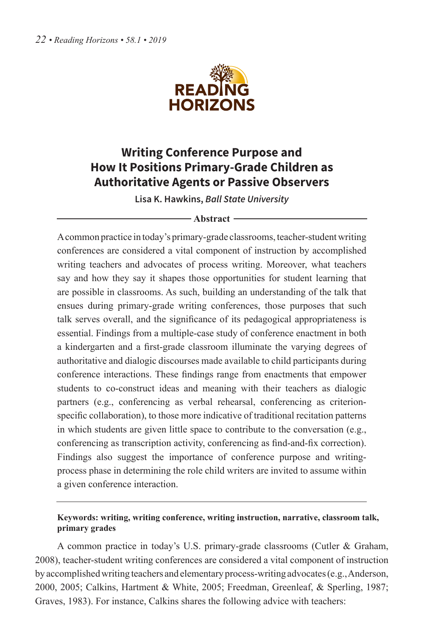

## **Writing Conference Purpose and How It Positions Primary-Grade Children as Authoritative Agents or Passive Observers**

**Lisa K. Hawkins,** *Ball State University*

#### **Abstract**

A common practice in today's primary-grade classrooms, teacher-student writing conferences are considered a vital component of instruction by accomplished writing teachers and advocates of process writing. Moreover, what teachers say and how they say it shapes those opportunities for student learning that are possible in classrooms. As such, building an understanding of the talk that ensues during primary-grade writing conferences, those purposes that such talk serves overall, and the significance of its pedagogical appropriateness is essential. Findings from a multiple-case study of conference enactment in both a kindergarten and a first-grade classroom illuminate the varying degrees of authoritative and dialogic discourses made available to child participants during conference interactions. These findings range from enactments that empower students to co-construct ideas and meaning with their teachers as dialogic partners (e.g., conferencing as verbal rehearsal, conferencing as criterionspecific collaboration), to those more indicative of traditional recitation patterns in which students are given little space to contribute to the conversation (e.g., conferencing as transcription activity, conferencing as find-and-fix correction). Findings also suggest the importance of conference purpose and writingprocess phase in determining the role child writers are invited to assume within a given conference interaction.

#### **Keywords: writing, writing conference, writing instruction, narrative, classroom talk, primary grades**

A common practice in today's U.S. primary-grade classrooms (Cutler & Graham, 2008), teacher-student writing conferences are considered a vital component of instruction by accomplished writing teachers and elementary process-writing advocates (e.g., Anderson, 2000, 2005; Calkins, Hartment & White, 2005; Freedman, Greenleaf, & Sperling, 1987; Graves, 1983). For instance, Calkins shares the following advice with teachers: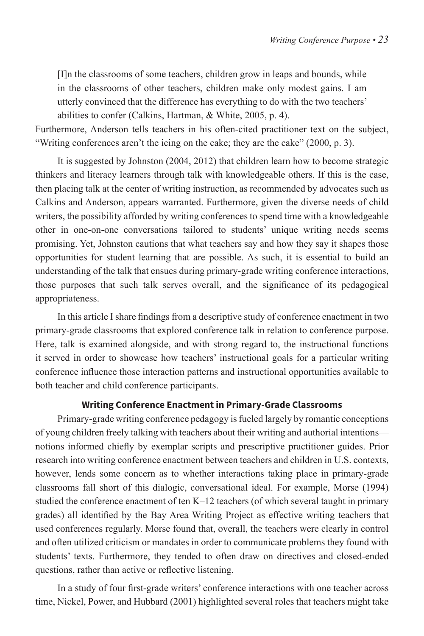[I]n the classrooms of some teachers, children grow in leaps and bounds, while in the classrooms of other teachers, children make only modest gains. I am utterly convinced that the difference has everything to do with the two teachers' abilities to confer (Calkins, Hartman, & White, 2005, p. 4).

Furthermore, Anderson tells teachers in his often-cited practitioner text on the subject, "Writing conferences aren't the icing on the cake; they are the cake" (2000, p. 3).

It is suggested by Johnston (2004, 2012) that children learn how to become strategic thinkers and literacy learners through talk with knowledgeable others. If this is the case, then placing talk at the center of writing instruction, as recommended by advocates such as Calkins and Anderson, appears warranted. Furthermore, given the diverse needs of child writers, the possibility afforded by writing conferences to spend time with a knowledgeable other in one-on-one conversations tailored to students' unique writing needs seems promising. Yet, Johnston cautions that what teachers say and how they say it shapes those opportunities for student learning that are possible. As such, it is essential to build an understanding of the talk that ensues during primary-grade writing conference interactions, those purposes that such talk serves overall, and the significance of its pedagogical appropriateness.

In this article I share findings from a descriptive study of conference enactment in two primary-grade classrooms that explored conference talk in relation to conference purpose. Here, talk is examined alongside, and with strong regard to, the instructional functions it served in order to showcase how teachers' instructional goals for a particular writing conference influence those interaction patterns and instructional opportunities available to both teacher and child conference participants.

#### **Writing Conference Enactment in Primary-Grade Classrooms**

Primary-grade writing conference pedagogy is fueled largely by romantic conceptions of young children freely talking with teachers about their writing and authorial intentions notions informed chiefly by exemplar scripts and prescriptive practitioner guides. Prior research into writing conference enactment between teachers and children in U.S. contexts, however, lends some concern as to whether interactions taking place in primary-grade classrooms fall short of this dialogic, conversational ideal. For example, Morse (1994) studied the conference enactment of ten K–12 teachers (of which several taught in primary grades) all identified by the Bay Area Writing Project as effective writing teachers that used conferences regularly. Morse found that, overall, the teachers were clearly in control and often utilized criticism or mandates in order to communicate problems they found with students' texts. Furthermore, they tended to often draw on directives and closed-ended questions, rather than active or reflective listening.

In a study of four first-grade writers' conference interactions with one teacher across time, Nickel, Power, and Hubbard (2001) highlighted several roles that teachers might take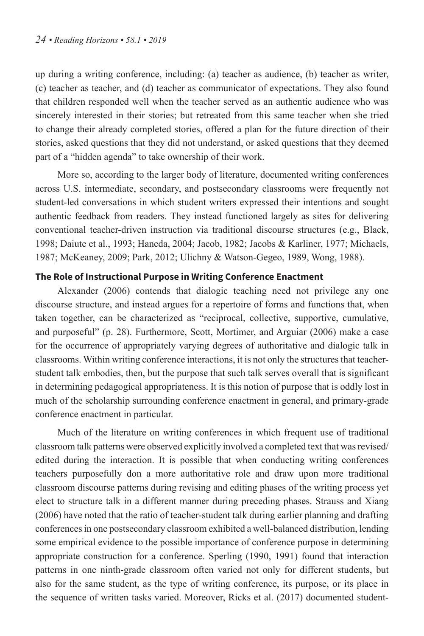up during a writing conference, including: (a) teacher as audience, (b) teacher as writer, (c) teacher as teacher, and (d) teacher as communicator of expectations. They also found that children responded well when the teacher served as an authentic audience who was sincerely interested in their stories; but retreated from this same teacher when she tried to change their already completed stories, offered a plan for the future direction of their stories, asked questions that they did not understand, or asked questions that they deemed part of a "hidden agenda" to take ownership of their work.

More so, according to the larger body of literature, documented writing conferences across U.S. intermediate, secondary, and postsecondary classrooms were frequently not student-led conversations in which student writers expressed their intentions and sought authentic feedback from readers. They instead functioned largely as sites for delivering conventional teacher-driven instruction via traditional discourse structures (e.g., Black, 1998; Daiute et al., 1993; Haneda, 2004; Jacob, 1982; Jacobs & Karliner, 1977; Michaels, 1987; McKeaney, 2009; Park, 2012; Ulichny & Watson-Gegeo, 1989, Wong, 1988).

#### **The Role of Instructional Purpose in Writing Conference Enactment**

Alexander (2006) contends that dialogic teaching need not privilege any one discourse structure, and instead argues for a repertoire of forms and functions that, when taken together, can be characterized as "reciprocal, collective, supportive, cumulative, and purposeful" (p. 28). Furthermore, Scott, Mortimer, and Arguiar (2006) make a case for the occurrence of appropriately varying degrees of authoritative and dialogic talk in classrooms. Within writing conference interactions, it is not only the structures that teacherstudent talk embodies, then, but the purpose that such talk serves overall that is significant in determining pedagogical appropriateness. It is this notion of purpose that is oddly lost in much of the scholarship surrounding conference enactment in general, and primary-grade conference enactment in particular.

Much of the literature on writing conferences in which frequent use of traditional classroom talk patterns were observed explicitly involved a completed text that was revised/ edited during the interaction. It is possible that when conducting writing conferences teachers purposefully don a more authoritative role and draw upon more traditional classroom discourse patterns during revising and editing phases of the writing process yet elect to structure talk in a different manner during preceding phases. Strauss and Xiang (2006) have noted that the ratio of teacher-student talk during earlier planning and drafting conferences in one postsecondary classroom exhibited a well-balanced distribution, lending some empirical evidence to the possible importance of conference purpose in determining appropriate construction for a conference. Sperling (1990, 1991) found that interaction patterns in one ninth-grade classroom often varied not only for different students, but also for the same student, as the type of writing conference, its purpose, or its place in the sequence of written tasks varied. Moreover, Ricks et al. (2017) documented student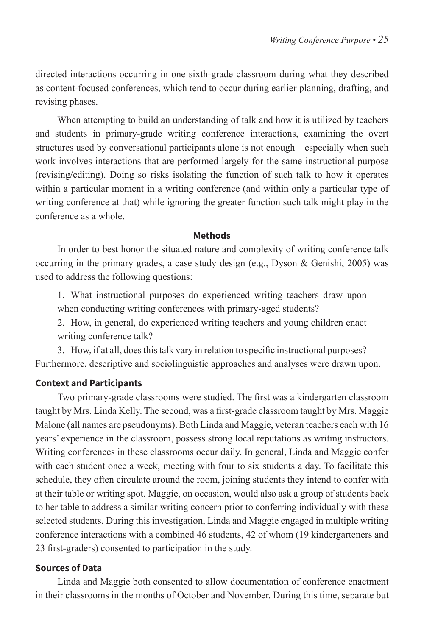directed interactions occurring in one sixth-grade classroom during what they described as content-focused conferences, which tend to occur during earlier planning, drafting, and revising phases.

When attempting to build an understanding of talk and how it is utilized by teachers and students in primary-grade writing conference interactions, examining the overt structures used by conversational participants alone is not enough—especially when such work involves interactions that are performed largely for the same instructional purpose (revising/editing). Doing so risks isolating the function of such talk to how it operates within a particular moment in a writing conference (and within only a particular type of writing conference at that) while ignoring the greater function such talk might play in the conference as a whole.

#### **Methods**

In order to best honor the situated nature and complexity of writing conference talk occurring in the primary grades, a case study design (e.g., Dyson & Genishi, 2005) was used to address the following questions:

1. What instructional purposes do experienced writing teachers draw upon when conducting writing conferences with primary-aged students?

2. How, in general, do experienced writing teachers and young children enact writing conference talk?

3. How, if at all, does this talk vary in relation to specific instructional purposes? Furthermore, descriptive and sociolinguistic approaches and analyses were drawn upon.

#### **Context and Participants**

Two primary-grade classrooms were studied. The first was a kindergarten classroom taught by Mrs. Linda Kelly. The second, was a first-grade classroom taught by Mrs. Maggie Malone (all names are pseudonyms). Both Linda and Maggie, veteran teachers each with 16 years' experience in the classroom, possess strong local reputations as writing instructors. Writing conferences in these classrooms occur daily. In general, Linda and Maggie confer with each student once a week, meeting with four to six students a day. To facilitate this schedule, they often circulate around the room, joining students they intend to confer with at their table or writing spot. Maggie, on occasion, would also ask a group of students back to her table to address a similar writing concern prior to conferring individually with these selected students. During this investigation, Linda and Maggie engaged in multiple writing conference interactions with a combined 46 students, 42 of whom (19 kindergarteners and 23 first-graders) consented to participation in the study.

#### **Sources of Data**

Linda and Maggie both consented to allow documentation of conference enactment in their classrooms in the months of October and November. During this time, separate but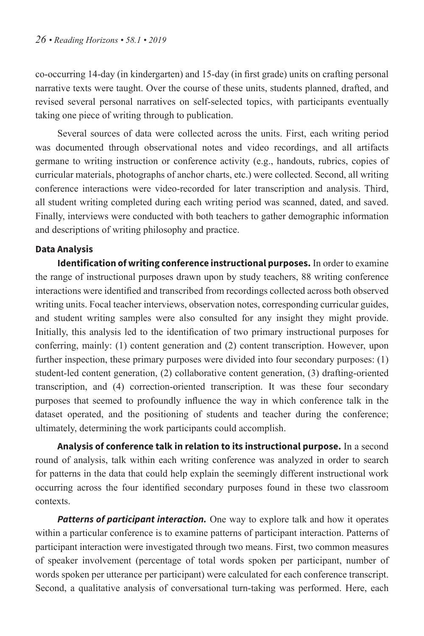co-occurring 14-day (in kindergarten) and 15-day (in first grade) units on crafting personal narrative texts were taught. Over the course of these units, students planned, drafted, and revised several personal narratives on self-selected topics, with participants eventually taking one piece of writing through to publication.

Several sources of data were collected across the units. First, each writing period was documented through observational notes and video recordings, and all artifacts germane to writing instruction or conference activity (e.g., handouts, rubrics, copies of curricular materials, photographs of anchor charts, etc.) were collected. Second, all writing conference interactions were video-recorded for later transcription and analysis. Third, all student writing completed during each writing period was scanned, dated, and saved. Finally, interviews were conducted with both teachers to gather demographic information and descriptions of writing philosophy and practice.

#### **Data Analysis**

**Identification of writing conference instructional purposes.** In order to examine the range of instructional purposes drawn upon by study teachers, 88 writing conference interactions were identified and transcribed from recordings collected across both observed writing units. Focal teacher interviews, observation notes, corresponding curricular guides, and student writing samples were also consulted for any insight they might provide. Initially, this analysis led to the identification of two primary instructional purposes for conferring, mainly: (1) content generation and (2) content transcription. However, upon further inspection, these primary purposes were divided into four secondary purposes: (1) student-led content generation, (2) collaborative content generation, (3) drafting-oriented transcription, and (4) correction-oriented transcription. It was these four secondary purposes that seemed to profoundly influence the way in which conference talk in the dataset operated, and the positioning of students and teacher during the conference; ultimately, determining the work participants could accomplish.

**Analysis of conference talk in relation to its instructional purpose.** In a second round of analysis, talk within each writing conference was analyzed in order to search for patterns in the data that could help explain the seemingly different instructional work occurring across the four identified secondary purposes found in these two classroom contexts.

**Patterns of participant interaction.** One way to explore talk and how it operates within a particular conference is to examine patterns of participant interaction. Patterns of participant interaction were investigated through two means. First, two common measures of speaker involvement (percentage of total words spoken per participant, number of words spoken per utterance per participant) were calculated for each conference transcript. Second, a qualitative analysis of conversational turn-taking was performed. Here, each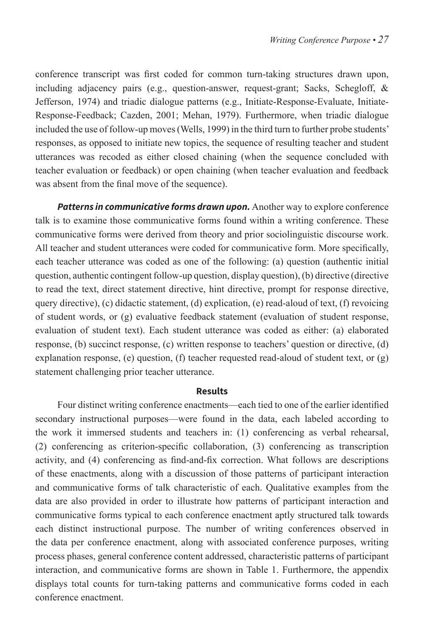conference transcript was first coded for common turn-taking structures drawn upon, including adjacency pairs (e.g., question-answer, request-grant; Sacks, Schegloff, & Jefferson, 1974) and triadic dialogue patterns (e.g., Initiate-Response-Evaluate, Initiate-Response-Feedback; Cazden, 2001; Mehan, 1979). Furthermore, when triadic dialogue included the use of follow-up moves (Wells, 1999) in the third turn to further probe students' responses, as opposed to initiate new topics, the sequence of resulting teacher and student utterances was recoded as either closed chaining (when the sequence concluded with teacher evaluation or feedback) or open chaining (when teacher evaluation and feedback was absent from the final move of the sequence).

*Patterns in communicative forms drawn upon.* Another way to explore conference talk is to examine those communicative forms found within a writing conference. These communicative forms were derived from theory and prior sociolinguistic discourse work. All teacher and student utterances were coded for communicative form. More specifically, each teacher utterance was coded as one of the following: (a) question (authentic initial question, authentic contingent follow-up question, display question), (b) directive (directive to read the text, direct statement directive, hint directive, prompt for response directive, query directive), (c) didactic statement, (d) explication, (e) read-aloud of text, (f) revoicing of student words, or (g) evaluative feedback statement (evaluation of student response, evaluation of student text). Each student utterance was coded as either: (a) elaborated response, (b) succinct response, (c) written response to teachers' question or directive, (d) explanation response, (e) question, (f) teacher requested read-aloud of student text, or  $(g)$ statement challenging prior teacher utterance.

#### **Results**

Four distinct writing conference enactments—each tied to one of the earlier identified secondary instructional purposes—were found in the data, each labeled according to the work it immersed students and teachers in: (1) conferencing as verbal rehearsal, (2) conferencing as criterion-specific collaboration, (3) conferencing as transcription activity, and (4) conferencing as find-and-fix correction. What follows are descriptions of these enactments, along with a discussion of those patterns of participant interaction and communicative forms of talk characteristic of each. Qualitative examples from the data are also provided in order to illustrate how patterns of participant interaction and communicative forms typical to each conference enactment aptly structured talk towards each distinct instructional purpose. The number of writing conferences observed in the data per conference enactment, along with associated conference purposes, writing process phases, general conference content addressed, characteristic patterns of participant interaction, and communicative forms are shown in Table 1. Furthermore, the appendix displays total counts for turn-taking patterns and communicative forms coded in each conference enactment.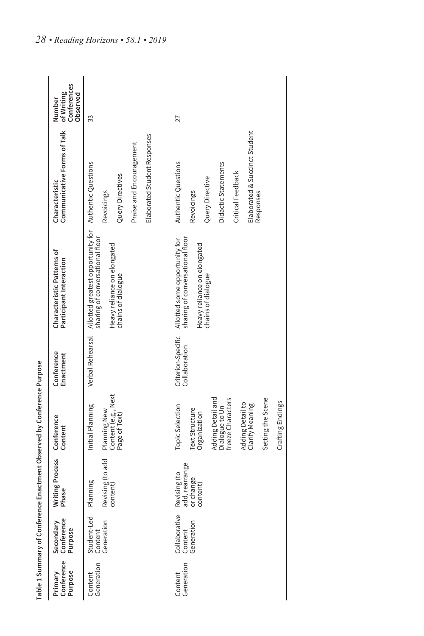|                                  |                                        |                                                         | Table 1 Summary of Conference Enactment Observed by Conference Purpose                                                                                                                                |                                     |                                                                                                                                               |                                                                                                                                                |                                                 |
|----------------------------------|----------------------------------------|---------------------------------------------------------|-------------------------------------------------------------------------------------------------------------------------------------------------------------------------------------------------------|-------------------------------------|-----------------------------------------------------------------------------------------------------------------------------------------------|------------------------------------------------------------------------------------------------------------------------------------------------|-------------------------------------------------|
| Conference<br>Purpose<br>Primary | Conference<br>Secondary<br>Purpose     | Writing Process<br>Phase                                | Conference<br>Content                                                                                                                                                                                 | Conference<br>Enactment             | Characteristic Patterns of<br>Participant Interaction                                                                                         | Communicative Forms of Talk<br>Characteristic                                                                                                  | Conferences<br>of Writing<br>Observed<br>Number |
| Generation<br>Content            | Student-Led<br>Generation<br>Content   | Revising (to add<br>Planning<br>content)                | Content (e.g., Next<br>Page of Text)<br>Initial Planning<br>Planning New                                                                                                                              | Verbal Rehearsal                    | Allotted greatest opportunity for Authentic Questions<br>sharing of conversational floor<br>Heavy reliance on elongated<br>chains of dialogue | Elaborated Student Responses<br>Praise and Encouragement<br>Query Directives<br>Revoicings                                                     | 33                                              |
| Generation<br>Content            | Collaborative<br>Generation<br>Content | add, rearrange<br>Revising (to<br>or change<br>content) | Adding Detail and<br>freeze Characters<br>Setting the Scene<br>Crafting Endings<br>Dialogue to Un-<br>Adding Detail to<br>Clarify Meaning<br>Topic Selection<br><b>Text Structure</b><br>Organization | Criterion-Specific<br>Collaboration | sharing of conversational floor<br>Allotted some opportunity for<br>Heavy reliance on elongated<br>chains of dialogue                         | Elaborated & Succinct Student<br>Authentic Questions<br>Didactic Statements<br>Critical Feedback<br>Query Directive<br>Revoicings<br>Responses | 27                                              |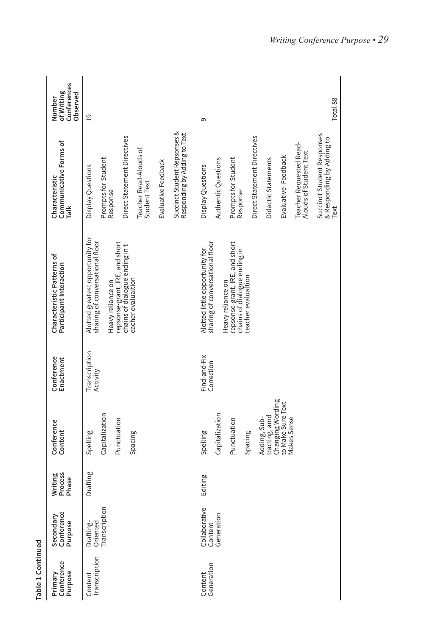| Conference<br>Purpose<br>Primary | $\mathbf{Q}$<br>Secondary<br>Conference<br>Purpose | Process<br>Writing<br>Phase | Conference<br>Content                                                                                                                         | Conference<br>Enactment    | Characteristic Patterns of<br>Participant Interaction                                                                                                                              | Communicative Forms of<br>Characteristic<br>Talk                                                                                                                                                                                                                                 | Conferences<br>of Writing<br>Observed<br>Number |
|----------------------------------|----------------------------------------------------|-----------------------------|-----------------------------------------------------------------------------------------------------------------------------------------------|----------------------------|------------------------------------------------------------------------------------------------------------------------------------------------------------------------------------|----------------------------------------------------------------------------------------------------------------------------------------------------------------------------------------------------------------------------------------------------------------------------------|-------------------------------------------------|
| Transcription<br>Content         | Transcription<br>Drafting-<br>Oriented             | Drafting                    | Capitalization<br>Punctuation<br>Spelling<br>Spacing                                                                                          | Transcription<br>Activity  | Alotted greatest opportunity for<br>sharing of conversational floor<br>repsonse-grant, IRE, and short<br>chains of dialogue ending in t<br>eacher evalualtion<br>Heavy reliance on | Succinct Student Repsonses &<br>Responding by Adding to Text<br>Direct Statement Directives<br>Teacher Read-Alouds of<br>Prompts for Student<br>Evaluative Feedback<br>Display Questions<br>Student Text<br>Response                                                             | 19                                              |
| Content<br>Generation            | Collaborative<br>Generation<br>Content             | Editing                     | Changing Wording<br>to Make Sure Text<br>Capitalization<br>tracting, amd<br>Adding, Sub-<br>Makes Sense<br>Punctuation<br>Spelling<br>Spacing | Find-and-Fix<br>Correction | sharing of conversational floor<br>repsonse-grant, IRE, and short<br>chains of dialogue ending in<br>Alotted little opportunity for<br>teacher evalualtion<br>Heavy reliance on    | Succinct Student Responses<br>Direct Statement Directives<br>& Responding by Adding to<br>Teacher Requested Read-<br>Alouds of Student Text<br>Evaluative Feedback<br>Authentic Questions<br>Didactic Statements<br>Prompts for Student<br>Display Questions<br>Response<br>Text | Total 88<br>თ                                   |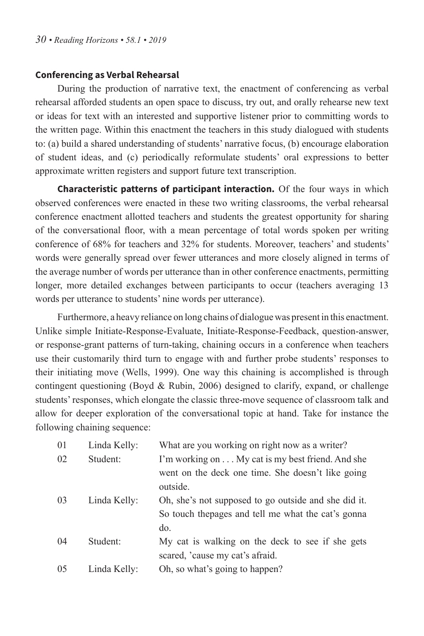#### **Conferencing as Verbal Rehearsal**

During the production of narrative text, the enactment of conferencing as verbal rehearsal afforded students an open space to discuss, try out, and orally rehearse new text or ideas for text with an interested and supportive listener prior to committing words to the written page. Within this enactment the teachers in this study dialogued with students to: (a) build a shared understanding of students' narrative focus, (b) encourage elaboration of student ideas, and (c) periodically reformulate students' oral expressions to better approximate written registers and support future text transcription.

**Characteristic patterns of participant interaction.** Of the four ways in which observed conferences were enacted in these two writing classrooms, the verbal rehearsal conference enactment allotted teachers and students the greatest opportunity for sharing of the conversational floor, with a mean percentage of total words spoken per writing conference of 68% for teachers and 32% for students. Moreover, teachers' and students' words were generally spread over fewer utterances and more closely aligned in terms of the average number of words per utterance than in other conference enactments, permitting longer, more detailed exchanges between participants to occur (teachers averaging 13 words per utterance to students' nine words per utterance).

Furthermore, a heavy reliance on long chains of dialogue was present in this enactment. Unlike simple Initiate-Response-Evaluate, Initiate-Response-Feedback, question-answer, or response-grant patterns of turn-taking, chaining occurs in a conference when teachers use their customarily third turn to engage with and further probe students' responses to their initiating move (Wells, 1999). One way this chaining is accomplished is through contingent questioning (Boyd  $\&$  Rubin, 2006) designed to clarify, expand, or challenge students' responses, which elongate the classic three-move sequence of classroom talk and allow for deeper exploration of the conversational topic at hand. Take for instance the following chaining sequence:

| 01 | Linda Kelly: | What are you working on right now as a writer?       |
|----|--------------|------------------------------------------------------|
| 02 | Student:     | I'm working on My cat is my best friend. And she     |
|    |              | went on the deck one time. She doesn't like going    |
|    |              | outside.                                             |
| 03 | Linda Kelly: | Oh, she's not supposed to go outside and she did it. |
|    |              | So touch the pages and tell me what the cat's gonna  |
|    |              | do.                                                  |
| 04 | Student:     | My cat is walking on the deck to see if she gets     |
|    |              | scared, 'cause my cat's afraid.                      |
| 05 | Linda Kelly: | Oh, so what's going to happen?                       |
|    |              |                                                      |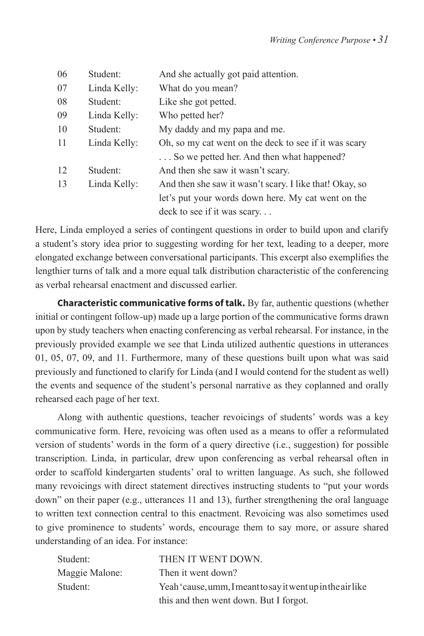| 06 | Student:     | And she actually got paid attention.                    |
|----|--------------|---------------------------------------------------------|
| 07 | Linda Kelly: | What do you mean?                                       |
| 08 | Student:     | Like she got petted.                                    |
| 09 | Linda Kelly: | Who petted her?                                         |
| 10 | Student:     | My daddy and my papa and me.                            |
| 11 | Linda Kelly: | Oh, so my cat went on the deck to see if it was scary   |
|    |              | So we petted her. And then what happened?               |
| 12 | Student:     | And then she saw it wasn't scary.                       |
| 13 | Linda Kelly: | And then she saw it wasn't scary. I like that! Okay, so |
|    |              | let's put your words down here. My cat went on the      |
|    |              | deck to see if it was scary                             |

Here, Linda employed a series of contingent questions in order to build upon and clarify a student's story idea prior to suggesting wording for her text, leading to a deeper, more elongated exchange between conversational participants. This excerpt also exemplifies the lengthier turns of talk and a more equal talk distribution characteristic of the conferencing as verbal rehearsal enactment and discussed earlier.

**Characteristic communicative forms of talk.** By far, authentic questions (whether initial or contingent follow-up) made up a large portion of the communicative forms drawn upon by study teachers when enacting conferencing as verbal rehearsal. For instance, in the previously provided example we see that Linda utilized authentic questions in utterances 01, 05, 07, 09, and 11. Furthermore, many of these questions built upon what was said previously and functioned to clarify for Linda (and I would contend for the student as well) the events and sequence of the student's personal narrative as they coplanned and orally rehearsed each page of her text.

Along with authentic questions, teacher revoicings of students' words was a key communicative form. Here, revoicing was often used as a means to offer a reformulated version of students' words in the form of a query directive (i.e., suggestion) for possible transcription. Linda, in particular, drew upon conferencing as verbal rehearsal often in order to scaffold kindergarten students' oral to written language. As such, she followed many revoicings with direct statement directives instructing students to "put your words down" on their paper (e.g., utterances 11 and 13), further strengthening the oral language to written text connection central to this enactment. Revoicing was also sometimes used to give prominence to students' words, encourage them to say more, or assure shared understanding of an idea. For instance:

| Student:       | THEN IT WENT DOWN.                                          |
|----------------|-------------------------------------------------------------|
| Maggie Malone: | Then it went down?                                          |
| Student:       | Yeah 'cause, umm, I meant to say it went up in the air like |
|                | this and then went down. But I forgot.                      |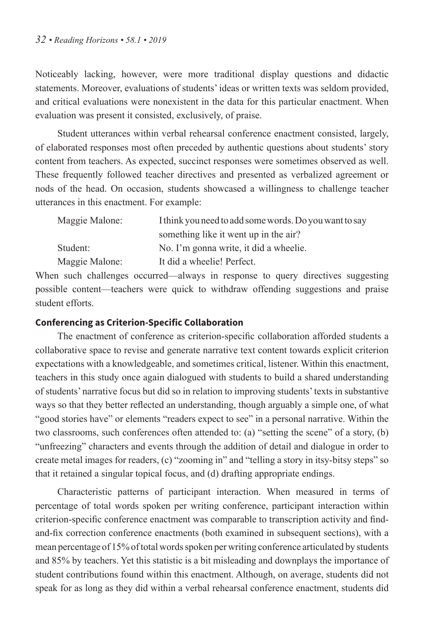Noticeably lacking, however, were more traditional display questions and didactic statements. Moreover, evaluations of students' ideas or written texts was seldom provided, and critical evaluations were nonexistent in the data for this particular enactment. When evaluation was present it consisted, exclusively, of praise.

Student utterances within verbal rehearsal conference enactment consisted, largely, of elaborated responses most often preceded by authentic questions about students' story content from teachers. As expected, succinct responses were sometimes observed as well. These frequently followed teacher directives and presented as verbalized agreement or nods of the head. On occasion, students showcased a willingness to challenge teacher utterances in this enactment. For example:

| Maggie Malone: | I think you need to add some words. Do you want to say |
|----------------|--------------------------------------------------------|
|                | something like it went up in the air?                  |
| Student:       | No. I'm gonna write, it did a wheelie.                 |
| Maggie Malone: | It did a wheelie! Perfect.                             |

When such challenges occurred—always in response to query directives suggesting possible content—teachers were quick to withdraw offending suggestions and praise student efforts.

#### **Conferencing as Criterion-Specific Collaboration**

The enactment of conference as criterion-specific collaboration afforded students a collaborative space to revise and generate narrative text content towards explicit criterion expectations with a knowledgeable, and sometimes critical, listener. Within this enactment, teachers in this study once again dialogued with students to build a shared understanding of students' narrative focus but did so in relation to improving students' texts in substantive ways so that they better reflected an understanding, though arguably a simple one, of what "good stories have" or elements "readers expect to see" in a personal narrative. Within the two classrooms, such conferences often attended to: (a) "setting the scene" of a story, (b) "unfreezing" characters and events through the addition of detail and dialogue in order to create metal images for readers, (c) "zooming in" and "telling a story in itsy-bitsy steps" so that it retained a singular topical focus, and (d) drafting appropriate endings.

Characteristic patterns of participant interaction. When measured in terms of percentage of total words spoken per writing conference, participant interaction within criterion-specific conference enactment was comparable to transcription activity and findand-fix correction conference enactments (both examined in subsequent sections), with a mean percentage of 15% of total words spoken per writing conference articulated by students and 85% by teachers. Yet this statistic is a bit misleading and downplays the importance of student contributions found within this enactment. Although, on average, students did not speak for as long as they did within a verbal rehearsal conference enactment, students did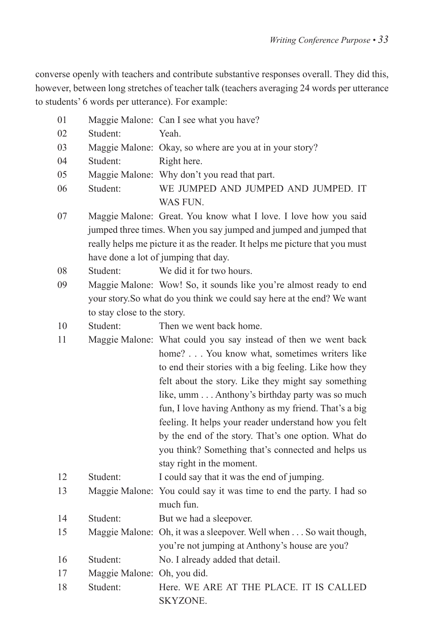converse openly with teachers and contribute substantive responses overall. They did this, however, between long stretches of teacher talk (teachers averaging 24 words per utterance to students' 6 words per utterance). For example:

| 01 |                             | Maggie Malone: Can I see what you have?                                                                                                                                                                                                                                                                                                                                                                                                                                                                                                      |
|----|-----------------------------|----------------------------------------------------------------------------------------------------------------------------------------------------------------------------------------------------------------------------------------------------------------------------------------------------------------------------------------------------------------------------------------------------------------------------------------------------------------------------------------------------------------------------------------------|
| 02 | Student:                    | Yeah.                                                                                                                                                                                                                                                                                                                                                                                                                                                                                                                                        |
| 03 |                             | Maggie Malone: Okay, so where are you at in your story?                                                                                                                                                                                                                                                                                                                                                                                                                                                                                      |
| 04 | Student:                    | Right here.                                                                                                                                                                                                                                                                                                                                                                                                                                                                                                                                  |
| 05 |                             | Maggie Malone: Why don't you read that part.                                                                                                                                                                                                                                                                                                                                                                                                                                                                                                 |
| 06 | Student:                    | WE JUMPED AND JUMPED AND JUMPED. IT<br>WAS FUN.                                                                                                                                                                                                                                                                                                                                                                                                                                                                                              |
| 07 |                             | Maggie Malone: Great. You know what I love. I love how you said<br>jumped three times. When you say jumped and jumped and jumped that<br>really helps me picture it as the reader. It helps me picture that you must<br>have done a lot of jumping that day.                                                                                                                                                                                                                                                                                 |
| 08 | Student:                    | We did it for two hours.                                                                                                                                                                                                                                                                                                                                                                                                                                                                                                                     |
| 09 |                             | Maggie Malone: Wow! So, it sounds like you're almost ready to end                                                                                                                                                                                                                                                                                                                                                                                                                                                                            |
|    |                             | your story. So what do you think we could say here at the end? We want                                                                                                                                                                                                                                                                                                                                                                                                                                                                       |
|    | to stay close to the story. |                                                                                                                                                                                                                                                                                                                                                                                                                                                                                                                                              |
| 10 | Student:                    | Then we went back home.                                                                                                                                                                                                                                                                                                                                                                                                                                                                                                                      |
| 11 |                             | Maggie Malone: What could you say instead of then we went back<br>home? You know what, sometimes writers like<br>to end their stories with a big feeling. Like how they<br>felt about the story. Like they might say something<br>like, umm Anthony's birthday party was so much<br>fun, I love having Anthony as my friend. That's a big<br>feeling. It helps your reader understand how you felt<br>by the end of the story. That's one option. What do<br>you think? Something that's connected and helps us<br>stay right in the moment. |
| 12 | Student:                    | I could say that it was the end of jumping.                                                                                                                                                                                                                                                                                                                                                                                                                                                                                                  |
| 13 |                             | Maggie Malone: You could say it was time to end the party. I had so<br>much fun.                                                                                                                                                                                                                                                                                                                                                                                                                                                             |
| 14 | Student:                    | But we had a sleepover.                                                                                                                                                                                                                                                                                                                                                                                                                                                                                                                      |
| 15 |                             | Maggie Malone: Oh, it was a sleepover. Well when So wait though,<br>you're not jumping at Anthony's house are you?                                                                                                                                                                                                                                                                                                                                                                                                                           |
| 16 | Student:                    | No. I already added that detail.                                                                                                                                                                                                                                                                                                                                                                                                                                                                                                             |
| 17 | Maggie Malone: Oh, you did. |                                                                                                                                                                                                                                                                                                                                                                                                                                                                                                                                              |
| 18 | Student:                    | Here. WE ARE AT THE PLACE. IT IS CALLED<br>SKYZONE.                                                                                                                                                                                                                                                                                                                                                                                                                                                                                          |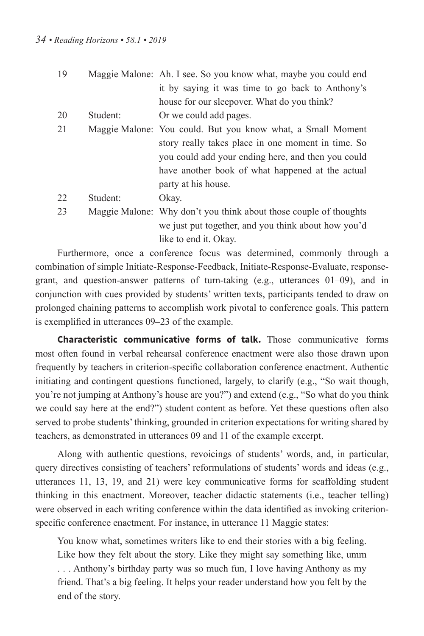| 19 |          | Maggie Malone: Ah. I see. So you know what, maybe you could end   |
|----|----------|-------------------------------------------------------------------|
|    |          | it by saying it was time to go back to Anthony's                  |
|    |          | house for our sleepover. What do you think?                       |
| 20 | Student: | Or we could add pages.                                            |
| 21 |          | Maggie Malone: You could. But you know what, a Small Moment       |
|    |          | story really takes place in one moment in time. So                |
|    |          | you could add your ending here, and then you could                |
|    |          | have another book of what happened at the actual                  |
|    |          | party at his house.                                               |
| 22 | Student: | Okay.                                                             |
| 23 |          | Maggie Malone: Why don't you think about those couple of thoughts |
|    |          | we just put together, and you think about how you'd               |
|    |          | like to end it. Okay.                                             |

Furthermore, once a conference focus was determined, commonly through a combination of simple Initiate-Response-Feedback, Initiate-Response-Evaluate, responsegrant, and question-answer patterns of turn-taking (e.g., utterances 01–09), and in conjunction with cues provided by students' written texts, participants tended to draw on prolonged chaining patterns to accomplish work pivotal to conference goals. This pattern is exemplified in utterances 09–23 of the example.

**Characteristic communicative forms of talk.** Those communicative forms most often found in verbal rehearsal conference enactment were also those drawn upon frequently by teachers in criterion-specific collaboration conference enactment. Authentic initiating and contingent questions functioned, largely, to clarify (e.g., "So wait though, you're not jumping at Anthony's house are you?") and extend (e.g., "So what do you think we could say here at the end?") student content as before. Yet these questions often also served to probe students' thinking, grounded in criterion expectations for writing shared by teachers, as demonstrated in utterances 09 and 11 of the example excerpt.

Along with authentic questions, revoicings of students' words, and, in particular, query directives consisting of teachers' reformulations of students' words and ideas (e.g., utterances 11, 13, 19, and 21) were key communicative forms for scaffolding student thinking in this enactment. Moreover, teacher didactic statements (i.e., teacher telling) were observed in each writing conference within the data identified as invoking criterionspecific conference enactment. For instance, in utterance 11 Maggie states:

You know what, sometimes writers like to end their stories with a big feeling. Like how they felt about the story. Like they might say something like, umm . . . Anthony's birthday party was so much fun, I love having Anthony as my friend. That's a big feeling. It helps your reader understand how you felt by the end of the story.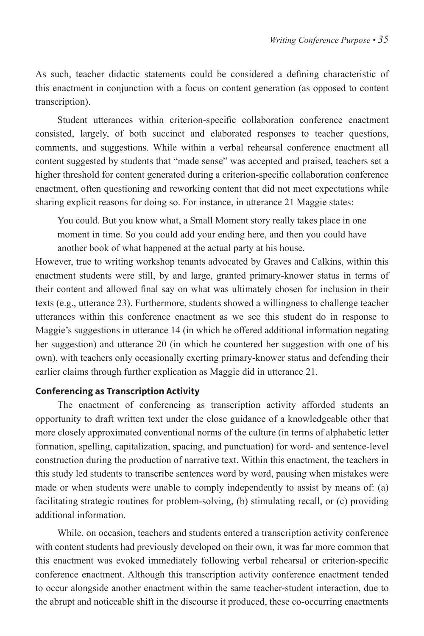As such, teacher didactic statements could be considered a defining characteristic of this enactment in conjunction with a focus on content generation (as opposed to content transcription).

Student utterances within criterion-specific collaboration conference enactment consisted, largely, of both succinct and elaborated responses to teacher questions, comments, and suggestions. While within a verbal rehearsal conference enactment all content suggested by students that "made sense" was accepted and praised, teachers set a higher threshold for content generated during a criterion-specific collaboration conference enactment, often questioning and reworking content that did not meet expectations while sharing explicit reasons for doing so. For instance, in utterance 21 Maggie states:

You could. But you know what, a Small Moment story really takes place in one moment in time. So you could add your ending here, and then you could have another book of what happened at the actual party at his house.

However, true to writing workshop tenants advocated by Graves and Calkins, within this enactment students were still, by and large, granted primary-knower status in terms of their content and allowed final say on what was ultimately chosen for inclusion in their texts (e.g., utterance 23). Furthermore, students showed a willingness to challenge teacher utterances within this conference enactment as we see this student do in response to Maggie's suggestions in utterance 14 (in which he offered additional information negating her suggestion) and utterance 20 (in which he countered her suggestion with one of his own), with teachers only occasionally exerting primary-knower status and defending their earlier claims through further explication as Maggie did in utterance 21.

#### **Conferencing as Transcription Activity**

The enactment of conferencing as transcription activity afforded students an opportunity to draft written text under the close guidance of a knowledgeable other that more closely approximated conventional norms of the culture (in terms of alphabetic letter formation, spelling, capitalization, spacing, and punctuation) for word- and sentence-level construction during the production of narrative text. Within this enactment, the teachers in this study led students to transcribe sentences word by word, pausing when mistakes were made or when students were unable to comply independently to assist by means of: (a) facilitating strategic routines for problem-solving, (b) stimulating recall, or (c) providing additional information.

While, on occasion, teachers and students entered a transcription activity conference with content students had previously developed on their own, it was far more common that this enactment was evoked immediately following verbal rehearsal or criterion-specific conference enactment. Although this transcription activity conference enactment tended to occur alongside another enactment within the same teacher-student interaction, due to the abrupt and noticeable shift in the discourse it produced, these co-occurring enactments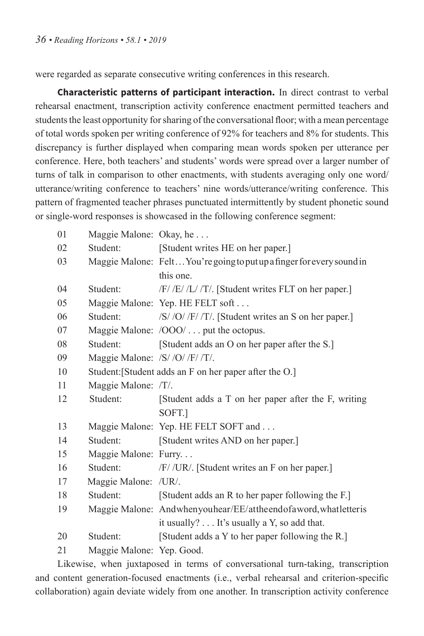were regarded as separate consecutive writing conferences in this research.

**Characteristic patterns of participant interaction.** In direct contrast to verbal rehearsal enactment, transcription activity conference enactment permitted teachers and students the least opportunity for sharing of the conversational floor; with a mean percentage of total words spoken per writing conference of 92% for teachers and 8% for students. This discrepancy is further displayed when comparing mean words spoken per utterance per conference. Here, both teachers' and students' words were spread over a larger number of turns of talk in comparison to other enactments, with students averaging only one word/ utterance/writing conference to teachers' nine words/utterance/writing conference. This pattern of fragmented teacher phrases punctuated intermittently by student phonetic sound or single-word responses is showcased in the following conference segment:

| 01 | Maggie Malone: Okay, he      |                                                                        |
|----|------------------------------|------------------------------------------------------------------------|
| 02 | Student:                     | [Student writes HE on her paper.]                                      |
| 03 |                              | Maggie Malone: Felt You're going to put up a finger for every sound in |
|    |                              | this one.                                                              |
| 04 | Student:                     | /F//E//L//T/. [Student writes FLT on her paper.]                       |
| 05 |                              | Maggie Malone: Yep. HE FELT soft                                       |
| 06 | Student:                     | /S//O//F//T/. [Student writes an S on her paper.]                      |
| 07 |                              | Maggie Malone: /OOO/ put the octopus.                                  |
| 08 | Student:                     | [Student adds an O on her paper after the S.]                          |
| 09 | Maggie Malone: /S//O//F//T/. |                                                                        |
| 10 |                              | Student: [Student adds an F on her paper after the O.]                 |
| 11 | Maggie Malone: /T/.          |                                                                        |
| 12 | Student:                     | [Student adds a T on her paper after the F, writing                    |
|    |                              | SOFT.]                                                                 |
| 13 |                              | Maggie Malone: Yep. HE FELT SOFT and                                   |
| 14 | Student:                     | [Student writes AND on her paper.]                                     |
| 15 | Maggie Malone: Furry         |                                                                        |
| 16 | Student:                     | /F//UR/. [Student writes an F on her paper.]                           |
| 17 | Maggie Malone: /UR/.         |                                                                        |
| 18 | Student:                     | [Student adds an R to her paper following the F.]                      |
| 19 |                              | Maggie Malone: Andwhenyouhear/EE/attheendofaword, what letter is       |
|    |                              | it usually? It's usually a Y, so add that.                             |
| 20 | Student:                     | [Student adds a Y to her paper following the R.]                       |
| 21 | Maggie Malone: Yep. Good.    |                                                                        |

Likewise, when juxtaposed in terms of conversational turn-taking, transcription and content generation-focused enactments (i.e., verbal rehearsal and criterion-specific collaboration) again deviate widely from one another. In transcription activity conference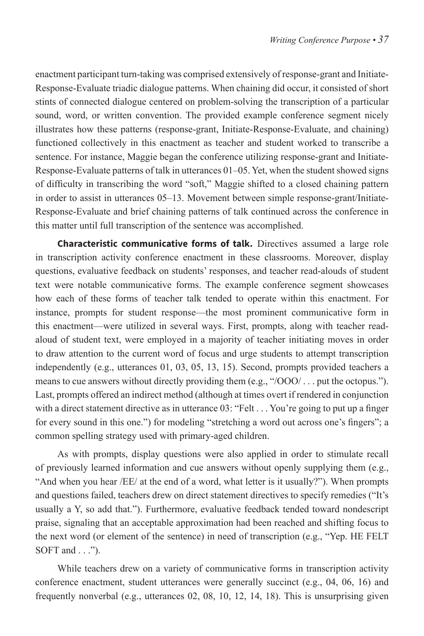enactment participant turn-taking was comprised extensively of response-grant and Initiate-Response-Evaluate triadic dialogue patterns. When chaining did occur, it consisted of short stints of connected dialogue centered on problem-solving the transcription of a particular sound, word, or written convention. The provided example conference segment nicely illustrates how these patterns (response-grant, Initiate-Response-Evaluate, and chaining) functioned collectively in this enactment as teacher and student worked to transcribe a sentence. For instance, Maggie began the conference utilizing response-grant and Initiate-Response-Evaluate patterns of talk in utterances 01–05. Yet, when the student showed signs of difficulty in transcribing the word "soft," Maggie shifted to a closed chaining pattern in order to assist in utterances 05–13. Movement between simple response-grant/Initiate-Response-Evaluate and brief chaining patterns of talk continued across the conference in this matter until full transcription of the sentence was accomplished.

**Characteristic communicative forms of talk.** Directives assumed a large role in transcription activity conference enactment in these classrooms. Moreover, display questions, evaluative feedback on students' responses, and teacher read-alouds of student text were notable communicative forms. The example conference segment showcases how each of these forms of teacher talk tended to operate within this enactment. For instance, prompts for student response—the most prominent communicative form in this enactment—were utilized in several ways. First, prompts, along with teacher readaloud of student text, were employed in a majority of teacher initiating moves in order to draw attention to the current word of focus and urge students to attempt transcription independently (e.g., utterances 01, 03, 05, 13, 15). Second, prompts provided teachers a means to cue answers without directly providing them (e.g., "/OOO/ . . . put the octopus."). Last, prompts offered an indirect method (although at times overt if rendered in conjunction with a direct statement directive as in utterance 03: "Felt . . . You're going to put up a finger for every sound in this one.") for modeling "stretching a word out across one's fingers"; a common spelling strategy used with primary-aged children.

As with prompts, display questions were also applied in order to stimulate recall of previously learned information and cue answers without openly supplying them (e.g., "And when you hear /EE/ at the end of a word, what letter is it usually?"). When prompts and questions failed, teachers drew on direct statement directives to specify remedies ("It's usually a Y, so add that."). Furthermore, evaluative feedback tended toward nondescript praise, signaling that an acceptable approximation had been reached and shifting focus to the next word (or element of the sentence) in need of transcription (e.g., "Yep. HE FELT SOFT and . . .").

While teachers drew on a variety of communicative forms in transcription activity conference enactment, student utterances were generally succinct (e.g., 04, 06, 16) and frequently nonverbal (e.g., utterances 02, 08, 10, 12, 14, 18). This is unsurprising given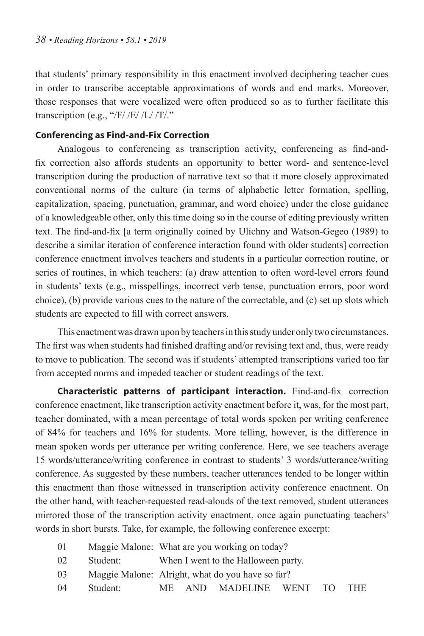that students' primary responsibility in this enactment involved deciphering teacher cues in order to transcribe acceptable approximations of words and end marks. Moreover, those responses that were vocalized were often produced so as to further facilitate this transcription (e.g., "/F/ /E/ /L/ /T/."

#### **Conferencing as Find-and-Fix Correction**

Analogous to conferencing as transcription activity, conferencing as find-andfix correction also affords students an opportunity to better word- and sentence-level transcription during the production of narrative text so that it more closely approximated conventional norms of the culture (in terms of alphabetic letter formation, spelling, capitalization, spacing, punctuation, grammar, and word choice) under the close guidance of a knowledgeable other, only this time doing so in the course of editing previously written text. The find-and-fix [a term originally coined by Ulichny and Watson-Gegeo (1989) to describe a similar iteration of conference interaction found with older students] correction conference enactment involves teachers and students in a particular correction routine, or series of routines, in which teachers: (a) draw attention to often word-level errors found in students' texts (e.g., misspellings, incorrect verb tense, punctuation errors, poor word choice), (b) provide various cues to the nature of the correctable, and (c) set up slots which students are expected to fill with correct answers.

This enactment was drawn upon by teachers in this study under only two circumstances. The first was when students had finished drafting and/or revising text and, thus, were ready to move to publication. The second was if students' attempted transcriptions varied too far from accepted norms and impeded teacher or student readings of the text.

**Characteristic patterns of participant interaction.** Find-and-fix correction conference enactment, like transcription activity enactment before it, was, for the most part, teacher dominated, with a mean percentage of total words spoken per writing conference of 84% for teachers and 16% for students. More telling, however, is the difference in mean spoken words per utterance per writing conference. Here, we see teachers average 15 words/utterance/writing conference in contrast to students' 3 words/utterance/writing conference. As suggested by these numbers, teacher utterances tended to be longer within this enactment than those witnessed in transcription activity conference enactment. On the other hand, with teacher-requested read-alouds of the text removed, student utterances mirrored those of the transcription activity enactment, once again punctuating teachers' words in short bursts. Take, for example, the following conference excerpt:

- 01 Maggie Malone: What are you working on today?
- 02 Student: When I went to the Halloween party.
- 03 Maggie Malone: Alright, what do you have so far?
- 04 Student: ME AND MADELINE WENT TO THE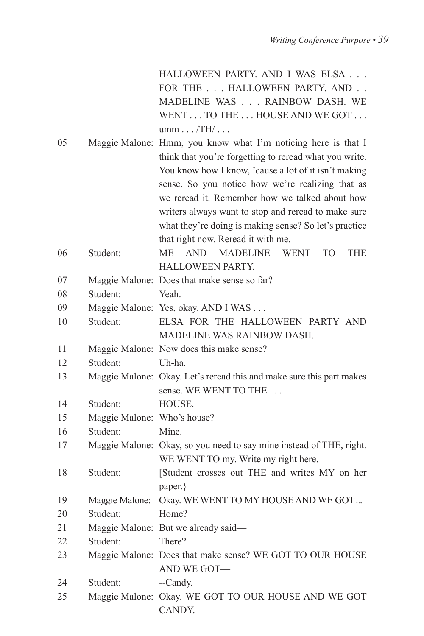|          |                                         | HALLOWEEN PARTY. AND I WAS ELSA                                         |
|----------|-----------------------------------------|-------------------------------------------------------------------------|
|          |                                         | FOR THE HALLOWEEN PARTY, AND                                            |
|          |                                         | MADELINE WAS RAINBOW DASH. WE                                           |
|          |                                         | WENT TO THE HOUSE AND WE GOT                                            |
|          |                                         | $umm \dots /TH/ \dots$                                                  |
| 05       |                                         | Maggie Malone: Hmm, you know what I'm noticing here is that I           |
|          |                                         | think that you're forgetting to reread what you write.                  |
|          |                                         | You know how I know, 'cause a lot of it isn't making                    |
|          |                                         | sense. So you notice how we're realizing that as                        |
|          |                                         | we reread it. Remember how we talked about how                          |
|          |                                         | writers always want to stop and reread to make sure                     |
|          |                                         | what they're doing is making sense? So let's practice                   |
|          |                                         | that right now. Reread it with me.                                      |
| 06       | Student:                                | AND MADELINE<br>ME<br><b>WENT</b><br>TO.<br>THE                         |
|          |                                         | HALLOWEEN PARTY.                                                        |
| 07       |                                         | Maggie Malone: Does that make sense so far?                             |
| 08       | Student <sup>-</sup>                    | Yeah.                                                                   |
| 09       |                                         | Maggie Malone: Yes, okay. AND I WAS                                     |
| 10       | Student:                                | ELSA FOR THE HALLOWEEN PARTY AND                                        |
|          |                                         | <b>MADELINE WAS RAINBOW DASH.</b>                                       |
| 11       |                                         | Maggie Malone: Now does this make sense?                                |
| 12       | Student:                                | Uh-ha.                                                                  |
| 13       |                                         | Maggie Malone: Okay. Let's reread this and make sure this part makes    |
| 14       | Student:                                | sense. WE WENT TO THE<br>HOUSE.                                         |
|          |                                         |                                                                         |
| 15<br>16 | Maggie Malone: Who's house?<br>Student: | Mine.                                                                   |
| 17       |                                         | Maggie Malone: Okay, so you need to say mine instead of THE, right.     |
|          |                                         | WE WENT TO my. Write my right here.                                     |
| 18       | Student:                                | [Student crosses out THE and writes MY on her                           |
|          |                                         | paper.}                                                                 |
| 19       | Maggie Malone:                          | Okay. WE WENT TO MY HOUSE AND WE GOT                                    |
| 20       | Student:                                | Home?                                                                   |
| 21       |                                         | Maggie Malone: But we already said-                                     |
| 22       | Student:                                | There?                                                                  |
| 23       |                                         | Maggie Malone: Does that make sense? WE GOT TO OUR HOUSE<br>AND WE GOT- |
| 24       | Student:                                | --Candy.                                                                |
| 25       |                                         | Maggie Malone: Okay. WE GOT TO OUR HOUSE AND WE GOT<br>CANDY.           |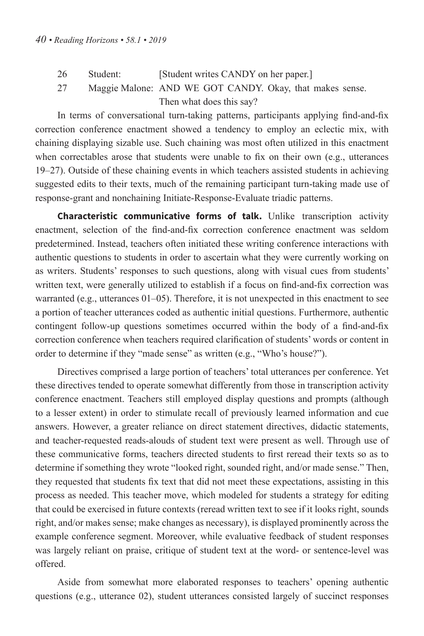- 26 Student: [Student writes CANDY on her paper.]
- 27 Maggie Malone: AND WE GOT CANDY. Okay, that makes sense.

Then what does this say?

In terms of conversational turn-taking patterns, participants applying find-and-fix correction conference enactment showed a tendency to employ an eclectic mix, with chaining displaying sizable use. Such chaining was most often utilized in this enactment when correctables arose that students were unable to fix on their own (e.g., utterances 19–27). Outside of these chaining events in which teachers assisted students in achieving suggested edits to their texts, much of the remaining participant turn-taking made use of response-grant and nonchaining Initiate-Response-Evaluate triadic patterns.

**Characteristic communicative forms of talk.** Unlike transcription activity enactment, selection of the find-and-fix correction conference enactment was seldom predetermined. Instead, teachers often initiated these writing conference interactions with authentic questions to students in order to ascertain what they were currently working on as writers. Students' responses to such questions, along with visual cues from students' written text, were generally utilized to establish if a focus on find-and-fix correction was warranted (e.g., utterances 01–05). Therefore, it is not unexpected in this enactment to see a portion of teacher utterances coded as authentic initial questions. Furthermore, authentic contingent follow-up questions sometimes occurred within the body of a find-and-fix correction conference when teachers required clarification of students' words or content in order to determine if they "made sense" as written (e.g., "Who's house?").

Directives comprised a large portion of teachers' total utterances per conference. Yet these directives tended to operate somewhat differently from those in transcription activity conference enactment. Teachers still employed display questions and prompts (although to a lesser extent) in order to stimulate recall of previously learned information and cue answers. However, a greater reliance on direct statement directives, didactic statements, and teacher-requested reads-alouds of student text were present as well. Through use of these communicative forms, teachers directed students to first reread their texts so as to determine if something they wrote "looked right, sounded right, and/or made sense." Then, they requested that students fix text that did not meet these expectations, assisting in this process as needed. This teacher move, which modeled for students a strategy for editing that could be exercised in future contexts (reread written text to see if it looks right, sounds right, and/or makes sense; make changes as necessary), is displayed prominently across the example conference segment. Moreover, while evaluative feedback of student responses was largely reliant on praise, critique of student text at the word- or sentence-level was offered.

Aside from somewhat more elaborated responses to teachers' opening authentic questions (e.g., utterance 02), student utterances consisted largely of succinct responses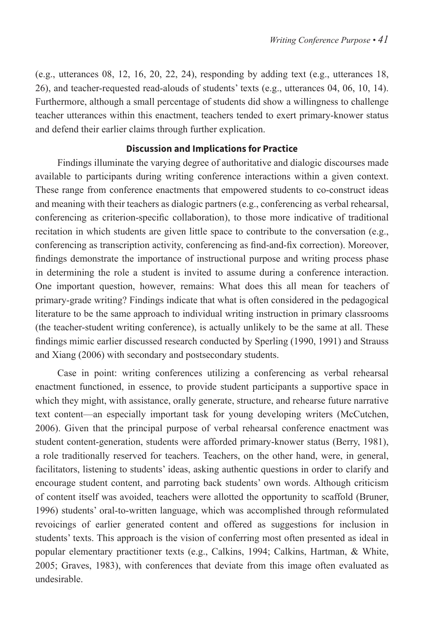(e.g., utterances 08, 12, 16, 20, 22, 24), responding by adding text (e.g., utterances 18, 26), and teacher-requested read-alouds of students' texts (e.g., utterances 04, 06, 10, 14). Furthermore, although a small percentage of students did show a willingness to challenge teacher utterances within this enactment, teachers tended to exert primary-knower status and defend their earlier claims through further explication.

#### **Discussion and Implications for Practice**

Findings illuminate the varying degree of authoritative and dialogic discourses made available to participants during writing conference interactions within a given context. These range from conference enactments that empowered students to co-construct ideas and meaning with their teachers as dialogic partners (e.g., conferencing as verbal rehearsal, conferencing as criterion-specific collaboration), to those more indicative of traditional recitation in which students are given little space to contribute to the conversation (e.g., conferencing as transcription activity, conferencing as find-and-fix correction). Moreover, findings demonstrate the importance of instructional purpose and writing process phase in determining the role a student is invited to assume during a conference interaction. One important question, however, remains: What does this all mean for teachers of primary-grade writing? Findings indicate that what is often considered in the pedagogical literature to be the same approach to individual writing instruction in primary classrooms (the teacher-student writing conference), is actually unlikely to be the same at all. These findings mimic earlier discussed research conducted by Sperling (1990, 1991) and Strauss and Xiang (2006) with secondary and postsecondary students.

Case in point: writing conferences utilizing a conferencing as verbal rehearsal enactment functioned, in essence, to provide student participants a supportive space in which they might, with assistance, orally generate, structure, and rehearse future narrative text content—an especially important task for young developing writers (McCutchen, 2006). Given that the principal purpose of verbal rehearsal conference enactment was student content-generation, students were afforded primary-knower status (Berry, 1981), a role traditionally reserved for teachers. Teachers, on the other hand, were, in general, facilitators, listening to students' ideas, asking authentic questions in order to clarify and encourage student content, and parroting back students' own words. Although criticism of content itself was avoided, teachers were allotted the opportunity to scaffold (Bruner, 1996) students' oral-to-written language, which was accomplished through reformulated revoicings of earlier generated content and offered as suggestions for inclusion in students' texts. This approach is the vision of conferring most often presented as ideal in popular elementary practitioner texts (e.g., Calkins, 1994; Calkins, Hartman, & White, 2005; Graves, 1983), with conferences that deviate from this image often evaluated as undesirable.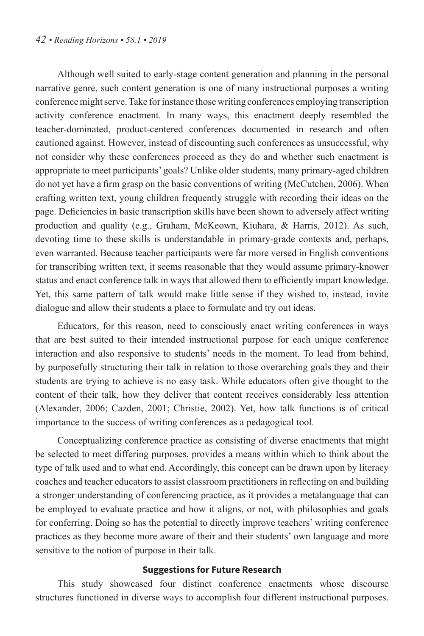Although well suited to early-stage content generation and planning in the personal narrative genre, such content generation is one of many instructional purposes a writing conference might serve. Take for instance those writing conferences employing transcription activity conference enactment. In many ways, this enactment deeply resembled the teacher-dominated, product-centered conferences documented in research and often cautioned against. However, instead of discounting such conferences as unsuccessful, why not consider why these conferences proceed as they do and whether such enactment is appropriate to meet participants' goals? Unlike older students, many primary-aged children do not yet have a firm grasp on the basic conventions of writing (McCutchen, 2006). When crafting written text, young children frequently struggle with recording their ideas on the page. Deficiencies in basic transcription skills have been shown to adversely affect writing production and quality (e.g., Graham, McKeown, Kiuhara, & Harris, 2012). As such, devoting time to these skills is understandable in primary-grade contexts and, perhaps, even warranted. Because teacher participants were far more versed in English conventions for transcribing written text, it seems reasonable that they would assume primary-knower status and enact conference talk in ways that allowed them to efficiently impart knowledge. Yet, this same pattern of talk would make little sense if they wished to, instead, invite dialogue and allow their students a place to formulate and try out ideas.

Educators, for this reason, need to consciously enact writing conferences in ways that are best suited to their intended instructional purpose for each unique conference interaction and also responsive to students' needs in the moment. To lead from behind, by purposefully structuring their talk in relation to those overarching goals they and their students are trying to achieve is no easy task. While educators often give thought to the content of their talk, how they deliver that content receives considerably less attention (Alexander, 2006; Cazden, 2001; Christie, 2002). Yet, how talk functions is of critical importance to the success of writing conferences as a pedagogical tool.

Conceptualizing conference practice as consisting of diverse enactments that might be selected to meet differing purposes, provides a means within which to think about the type of talk used and to what end. Accordingly, this concept can be drawn upon by literacy coaches and teacher educators to assist classroom practitioners in reflecting on and building a stronger understanding of conferencing practice, as it provides a metalanguage that can be employed to evaluate practice and how it aligns, or not, with philosophies and goals for conferring. Doing so has the potential to directly improve teachers' writing conference practices as they become more aware of their and their students' own language and more sensitive to the notion of purpose in their talk.

#### **Suggestions for Future Research**

This study showcased four distinct conference enactments whose discourse structures functioned in diverse ways to accomplish four different instructional purposes.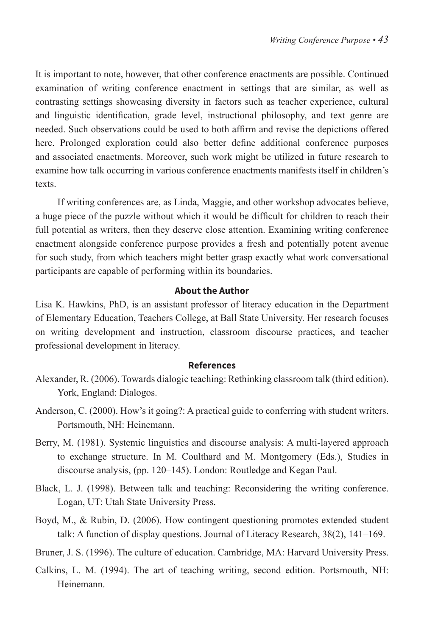It is important to note, however, that other conference enactments are possible. Continued examination of writing conference enactment in settings that are similar, as well as contrasting settings showcasing diversity in factors such as teacher experience, cultural and linguistic identification, grade level, instructional philosophy, and text genre are needed. Such observations could be used to both affirm and revise the depictions offered here. Prolonged exploration could also better define additional conference purposes and associated enactments. Moreover, such work might be utilized in future research to examine how talk occurring in various conference enactments manifests itself in children's texts.

If writing conferences are, as Linda, Maggie, and other workshop advocates believe, a huge piece of the puzzle without which it would be difficult for children to reach their full potential as writers, then they deserve close attention. Examining writing conference enactment alongside conference purpose provides a fresh and potentially potent avenue for such study, from which teachers might better grasp exactly what work conversational participants are capable of performing within its boundaries.

#### **About the Author**

Lisa K. Hawkins, PhD, is an assistant professor of literacy education in the Department of Elementary Education, Teachers College, at Ball State University. Her research focuses on writing development and instruction, classroom discourse practices, and teacher professional development in literacy.

#### **References**

- Alexander, R. (2006). Towards dialogic teaching: Rethinking classroom talk (third edition). York, England: Dialogos.
- Anderson, C. (2000). How's it going?: A practical guide to conferring with student writers. Portsmouth, NH: Heinemann.
- Berry, M. (1981). Systemic linguistics and discourse analysis: A multi-layered approach to exchange structure. In M. Coulthard and M. Montgomery (Eds.), Studies in discourse analysis, (pp. 120–145). London: Routledge and Kegan Paul.
- Black, L. J. (1998). Between talk and teaching: Reconsidering the writing conference. Logan, UT: Utah State University Press.
- Boyd, M., & Rubin, D. (2006). How contingent questioning promotes extended student talk: A function of display questions. Journal of Literacy Research, 38(2), 141–169.
- Bruner, J. S. (1996). The culture of education. Cambridge, MA: Harvard University Press.
- Calkins, L. M. (1994). The art of teaching writing, second edition. Portsmouth, NH: Heinemann.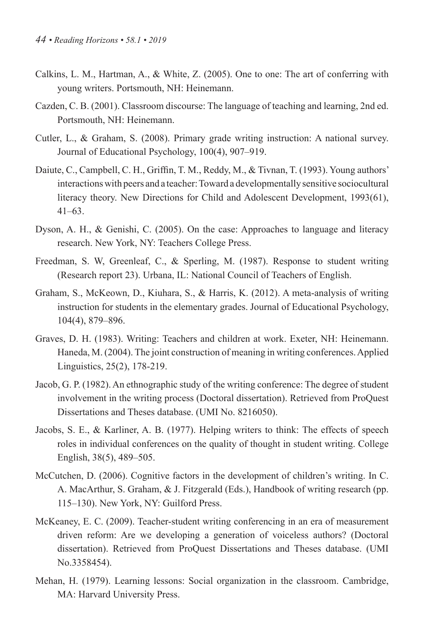- Calkins, L. M., Hartman, A., & White, Z. (2005). One to one: The art of conferring with young writers. Portsmouth, NH: Heinemann.
- Cazden, C. B. (2001). Classroom discourse: The language of teaching and learning, 2nd ed. Portsmouth, NH: Heinemann.
- Cutler, L., & Graham, S. (2008). Primary grade writing instruction: A national survey. Journal of Educational Psychology, 100(4), 907–919.
- Daiute, C., Campbell, C. H., Griffin, T. M., Reddy, M., & Tivnan, T. (1993). Young authors' interactions with peers and a teacher: Toward a developmentally sensitive sociocultural literacy theory. New Directions for Child and Adolescent Development, 1993(61), 41–63.
- Dyson, A. H., & Genishi, C. (2005). On the case: Approaches to language and literacy research. New York, NY: Teachers College Press.
- Freedman, S. W, Greenleaf, C., & Sperling, M. (1987). Response to student writing (Research report 23). Urbana, IL: National Council of Teachers of English.
- Graham, S., McKeown, D., Kiuhara, S., & Harris, K. (2012). A meta-analysis of writing instruction for students in the elementary grades. Journal of Educational Psychology, 104(4), 879–896.
- Graves, D. H. (1983). Writing: Teachers and children at work. Exeter, NH: Heinemann. Haneda, M. (2004). The joint construction of meaning in writing conferences. Applied Linguistics, 25(2), 178-219.
- Jacob, G. P. (1982). An ethnographic study of the writing conference: The degree of student involvement in the writing process (Doctoral dissertation). Retrieved from ProQuest Dissertations and Theses database. (UMI No. 8216050).
- Jacobs, S. E., & Karliner, A. B. (1977). Helping writers to think: The effects of speech roles in individual conferences on the quality of thought in student writing. College English, 38(5), 489–505.
- McCutchen, D. (2006). Cognitive factors in the development of children's writing. In C. A. MacArthur, S. Graham, & J. Fitzgerald (Eds.), Handbook of writing research (pp. 115–130). New York, NY: Guilford Press.
- McKeaney, E. C. (2009). Teacher-student writing conferencing in an era of measurement driven reform: Are we developing a generation of voiceless authors? (Doctoral dissertation). Retrieved from ProQuest Dissertations and Theses database. (UMI No.3358454).
- Mehan, H. (1979). Learning lessons: Social organization in the classroom. Cambridge, MA: Harvard University Press.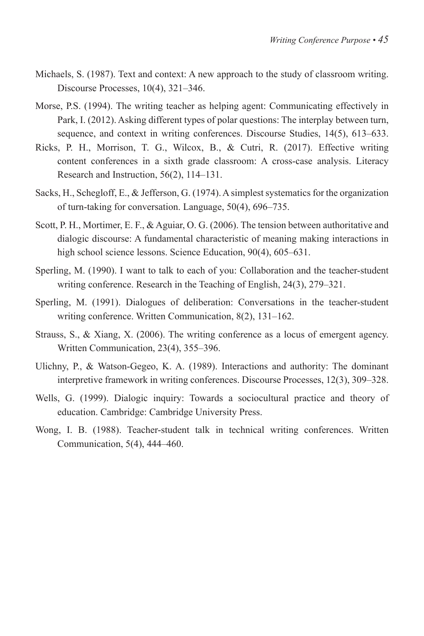- Michaels, S. (1987). Text and context: A new approach to the study of classroom writing. Discourse Processes, 10(4), 321–346.
- Morse, P.S. (1994). The writing teacher as helping agent: Communicating effectively in Park, I. (2012). Asking different types of polar questions: The interplay between turn, sequence, and context in writing conferences. Discourse Studies, 14(5), 613–633.
- Ricks, P. H., Morrison, T. G., Wilcox, B., & Cutri, R. (2017). Effective writing content conferences in a sixth grade classroom: A cross-case analysis. Literacy Research and Instruction, 56(2), 114–131.
- Sacks, H., Schegloff, E., & Jefferson, G. (1974). A simplest systematics for the organization of turn-taking for conversation. Language, 50(4), 696–735.
- Scott, P. H., Mortimer, E. F., & Aguiar, O. G. (2006). The tension between authoritative and dialogic discourse: A fundamental characteristic of meaning making interactions in high school science lessons. Science Education, 90(4), 605–631.
- Sperling, M. (1990). I want to talk to each of you: Collaboration and the teacher-student writing conference. Research in the Teaching of English, 24(3), 279–321.
- Sperling, M. (1991). Dialogues of deliberation: Conversations in the teacher-student writing conference. Written Communication, 8(2), 131–162.
- Strauss, S., & Xiang, X. (2006). The writing conference as a locus of emergent agency. Written Communication, 23(4), 355–396.
- Ulichny, P., & Watson-Gegeo, K. A. (1989). Interactions and authority: The dominant interpretive framework in writing conferences. Discourse Processes, 12(3), 309–328.
- Wells, G. (1999). Dialogic inquiry: Towards a sociocultural practice and theory of education. Cambridge: Cambridge University Press.
- Wong, I. B. (1988). Teacher-student talk in technical writing conferences. Written Communication, 5(4), 444–460.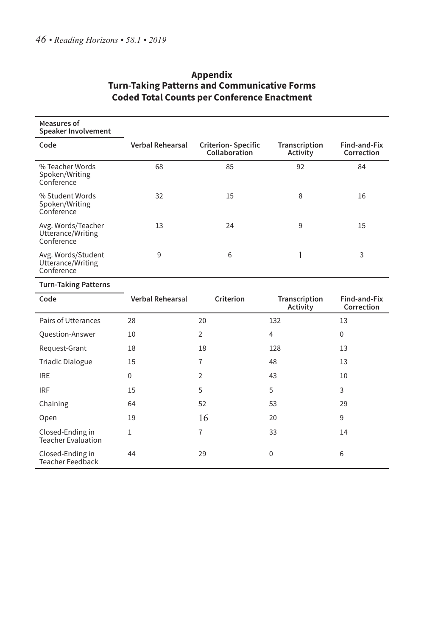### **Appendix Turn-Taking Patterns and Communicative Forms Coded Total Counts per Conference Enactment**

| Measures of<br>Speaker Involvement                    |                         |                                            |                           |                                   |
|-------------------------------------------------------|-------------------------|--------------------------------------------|---------------------------|-----------------------------------|
| Code                                                  | <b>Verbal Rehearsal</b> | <b>Criterion-Specific</b><br>Collaboration | Transcription<br>Activity | Find-and-Fix<br>Correction        |
| % Teacher Words<br>Spoken/Writing<br>Conference       | 68                      | 85                                         | 92                        | 84                                |
| % Student Words<br>Spoken/Writing<br>Conference       | 32                      | 15                                         | 8                         | 16                                |
| Avg. Words/Teacher<br>Utterance/Writing<br>Conference | 13                      | 24                                         | 9                         | 15                                |
| Avg. Words/Student<br>Utterance/Writing<br>Conference | 9                       | 6                                          | 1                         | 3                                 |
| <b>Turn-Taking Patterns</b>                           |                         |                                            |                           |                                   |
|                                                       |                         |                                            |                           |                                   |
| Code                                                  | <b>Verbal Rehearsal</b> | Criterion                                  | Transcription<br>Activity | <b>Find-and-Fix</b><br>Correction |
| Pairs of Utterances                                   | 28                      | 20                                         | 132                       | 13                                |
| <b>Question-Answer</b>                                | 10                      | $\overline{2}$                             | 4                         | $\mathbf 0$                       |
| Request-Grant                                         | 18                      | 18                                         | 128                       | 13                                |
| <b>Triadic Dialogue</b>                               | 15                      | $\overline{7}$                             | 48                        | 13                                |
| <b>IRE</b>                                            | 0                       | $\overline{2}$                             | 43                        | 10                                |
| <b>IRF</b>                                            | 15                      | 5                                          | 5                         | 3                                 |
| Chaining                                              | 64                      | 52                                         | 53                        | 29                                |
| Open                                                  | 19                      | 16                                         | 20                        | 9                                 |
| Closed-Ending in<br><b>Teacher Evaluation</b>         | $\mathbf{1}$            | $\overline{7}$                             | 33                        | 14                                |